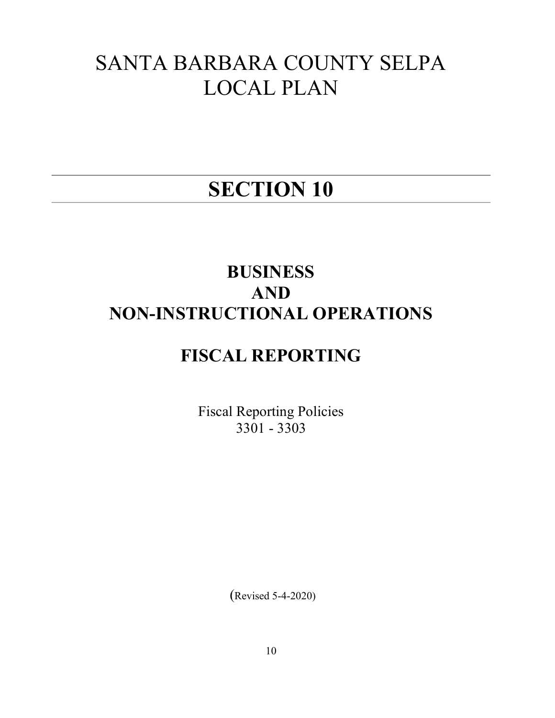# SANTA BARBARA COUNTY SELPA LOCAL PLAN

# SECTION 10

# BUSINESS AND NON-INSTRUCTIONAL OPERATIONS

# FISCAL REPORTING

Fiscal Reporting Policies 3301 - 3303

(Revised 5-4-2020)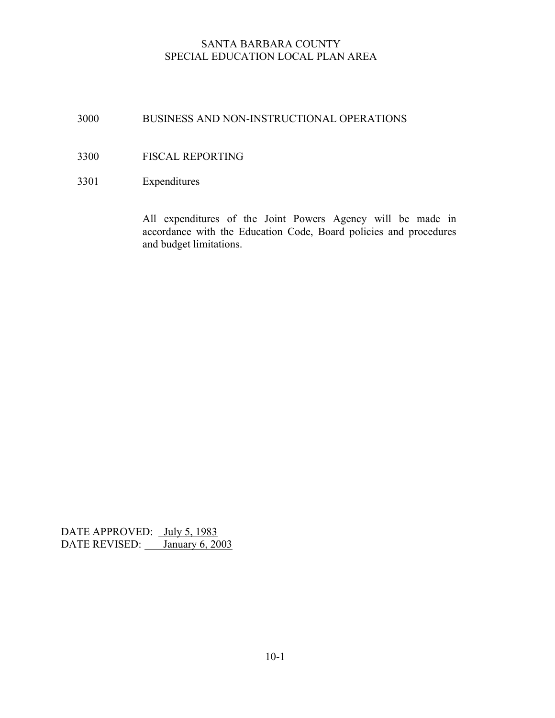#### 3000 BUSINESS AND NON-INSTRUCTIONAL OPERATIONS

- 3300 FISCAL REPORTING
- 3301 Expenditures

All expenditures of the Joint Powers Agency will be made in accordance with the Education Code, Board policies and procedures and budget limitations.

DATE APPROVED: July 5, 1983 DATE REVISED: January 6, 2003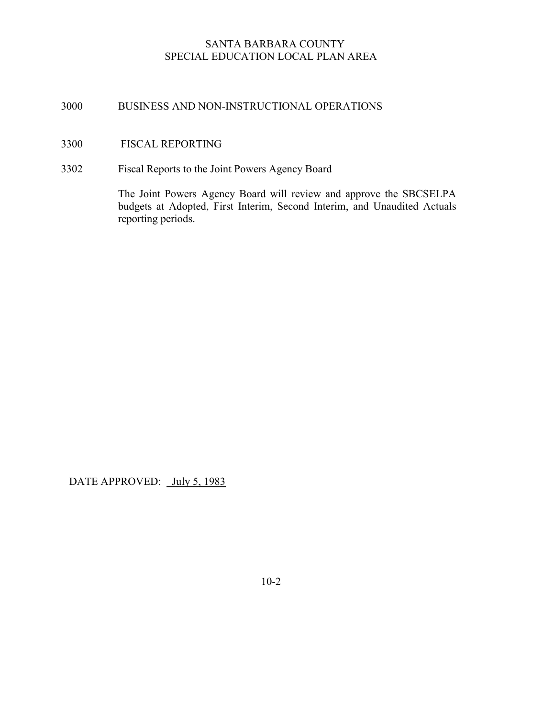## 3000 BUSINESS AND NON-INSTRUCTIONAL OPERATIONS

#### 3300 FISCAL REPORTING

3302 Fiscal Reports to the Joint Powers Agency Board

The Joint Powers Agency Board will review and approve the SBCSELPA budgets at Adopted, First Interim, Second Interim, and Unaudited Actuals reporting periods.

DATE APPROVED: July 5, 1983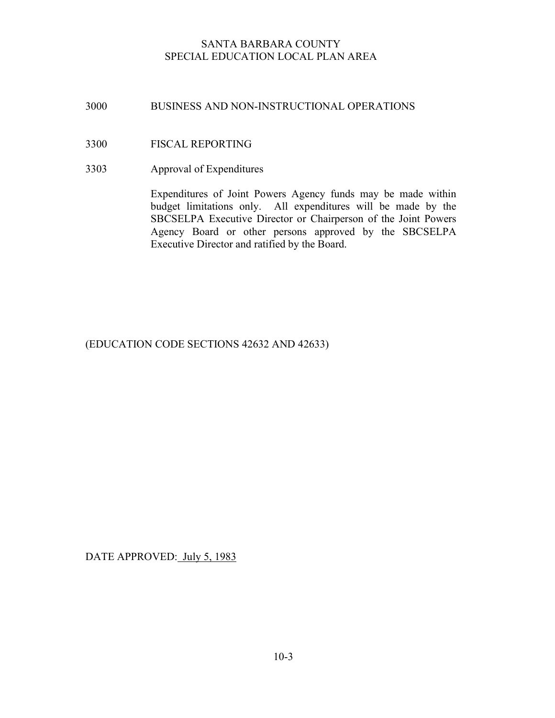#### 3000 BUSINESS AND NON-INSTRUCTIONAL OPERATIONS

#### 3300 FISCAL REPORTING

3303 Approval of Expenditures

Expenditures of Joint Powers Agency funds may be made within budget limitations only. All expenditures will be made by the SBCSELPA Executive Director or Chairperson of the Joint Powers Agency Board or other persons approved by the SBCSELPA Executive Director and ratified by the Board.

## (EDUCATION CODE SECTIONS 42632 AND 42633)

DATE APPROVED: July 5, 1983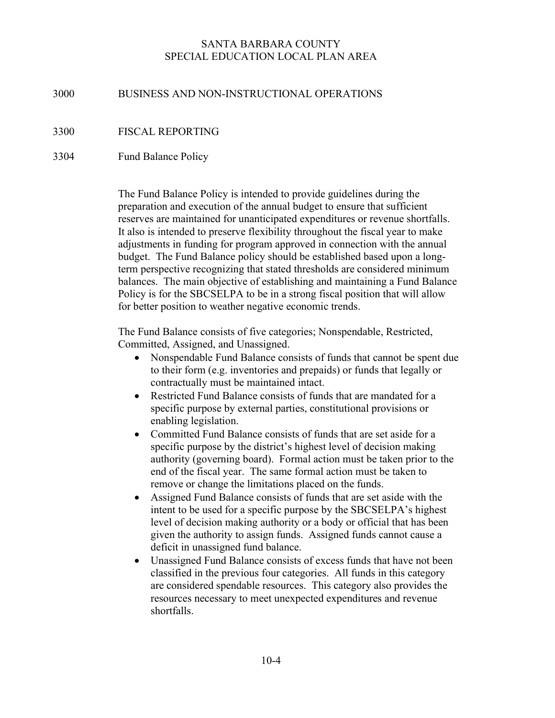#### 3000 BUSINESS AND NON-INSTRUCTIONAL OPERATIONS

3300 FISCAL REPORTING

#### 3304 Fund Balance Policy

The Fund Balance Policy is intended to provide guidelines during the preparation and execution of the annual budget to ensure that sufficient reserves are maintained for unanticipated expenditures or revenue shortfalls. It also is intended to preserve flexibility throughout the fiscal year to make adjustments in funding for program approved in connection with the annual budget. The Fund Balance policy should be established based upon a longterm perspective recognizing that stated thresholds are considered minimum balances. The main objective of establishing and maintaining a Fund Balance Policy is for the SBCSELPA to be in a strong fiscal position that will allow for better position to weather negative economic trends.

The Fund Balance consists of five categories; Nonspendable, Restricted, Committed, Assigned, and Unassigned.

- Nonspendable Fund Balance consists of funds that cannot be spent due to their form (e.g. inventories and prepaids) or funds that legally or contractually must be maintained intact.
- Restricted Fund Balance consists of funds that are mandated for a specific purpose by external parties, constitutional provisions or enabling legislation.
- Committed Fund Balance consists of funds that are set aside for a specific purpose by the district's highest level of decision making authority (governing board). Formal action must be taken prior to the end of the fiscal year. The same formal action must be taken to remove or change the limitations placed on the funds.
- Assigned Fund Balance consists of funds that are set aside with the intent to be used for a specific purpose by the SBCSELPA's highest level of decision making authority or a body or official that has been given the authority to assign funds. Assigned funds cannot cause a deficit in unassigned fund balance.
- Unassigned Fund Balance consists of excess funds that have not been classified in the previous four categories. All funds in this category are considered spendable resources. This category also provides the resources necessary to meet unexpected expenditures and revenue shortfalls.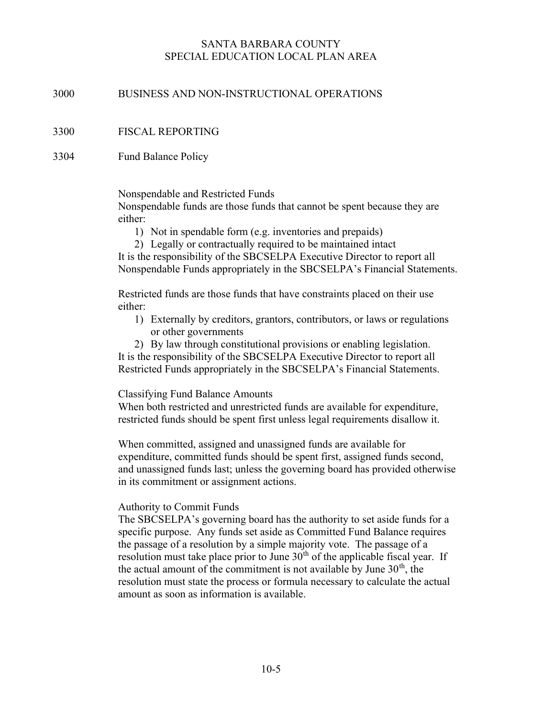#### 3000 BUSINESS AND NON-INSTRUCTIONAL OPERATIONS

#### 3300 FISCAL REPORTING

#### 3304 Fund Balance Policy

Nonspendable and Restricted Funds

Nonspendable funds are those funds that cannot be spent because they are either:

- 1) Not in spendable form (e.g. inventories and prepaids)
- 2) Legally or contractually required to be maintained intact

It is the responsibility of the SBCSELPA Executive Director to report all Nonspendable Funds appropriately in the SBCSELPA's Financial Statements.

Restricted funds are those funds that have constraints placed on their use either:

1) Externally by creditors, grantors, contributors, or laws or regulations or other governments

2) By law through constitutional provisions or enabling legislation. It is the responsibility of the SBCSELPA Executive Director to report all Restricted Funds appropriately in the SBCSELPA's Financial Statements.

#### Classifying Fund Balance Amounts

When both restricted and unrestricted funds are available for expenditure, restricted funds should be spent first unless legal requirements disallow it.

When committed, assigned and unassigned funds are available for expenditure, committed funds should be spent first, assigned funds second, and unassigned funds last; unless the governing board has provided otherwise in its commitment or assignment actions.

#### Authority to Commit Funds

The SBCSELPA's governing board has the authority to set aside funds for a specific purpose. Any funds set aside as Committed Fund Balance requires the passage of a resolution by a simple majority vote. The passage of a resolution must take place prior to June  $30<sup>th</sup>$  of the applicable fiscal year. If the actual amount of the commitment is not available by June  $30<sup>th</sup>$ , the resolution must state the process or formula necessary to calculate the actual amount as soon as information is available.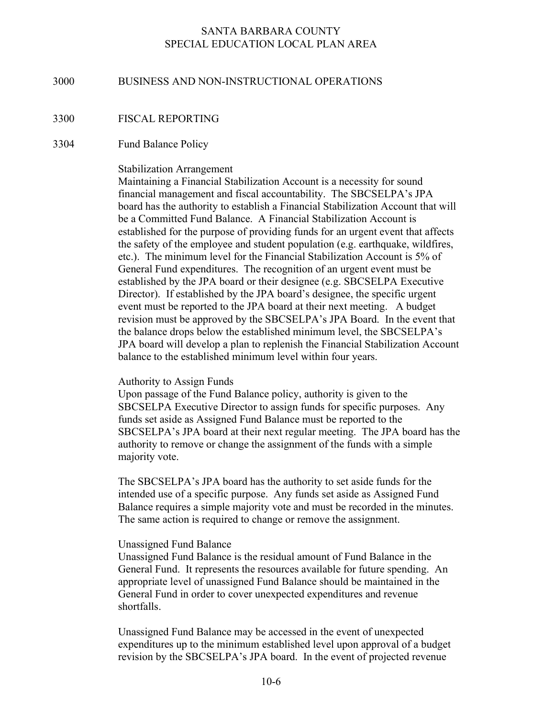#### 3000 BUSINESS AND NON-INSTRUCTIONAL OPERATIONS

#### 3300 FISCAL REPORTING

#### 3304 Fund Balance Policy

Stabilization Arrangement

Maintaining a Financial Stabilization Account is a necessity for sound financial management and fiscal accountability. The SBCSELPA's JPA board has the authority to establish a Financial Stabilization Account that will be a Committed Fund Balance. A Financial Stabilization Account is established for the purpose of providing funds for an urgent event that affects the safety of the employee and student population (e.g. earthquake, wildfires, etc.). The minimum level for the Financial Stabilization Account is 5% of General Fund expenditures. The recognition of an urgent event must be established by the JPA board or their designee (e.g. SBCSELPA Executive Director). If established by the JPA board's designee, the specific urgent event must be reported to the JPA board at their next meeting. A budget revision must be approved by the SBCSELPA's JPA Board. In the event that the balance drops below the established minimum level, the SBCSELPA's JPA board will develop a plan to replenish the Financial Stabilization Account balance to the established minimum level within four years.

#### Authority to Assign Funds

Upon passage of the Fund Balance policy, authority is given to the SBCSELPA Executive Director to assign funds for specific purposes. Any funds set aside as Assigned Fund Balance must be reported to the SBCSELPA's JPA board at their next regular meeting. The JPA board has the authority to remove or change the assignment of the funds with a simple majority vote.

The SBCSELPA's JPA board has the authority to set aside funds for the intended use of a specific purpose. Any funds set aside as Assigned Fund Balance requires a simple majority vote and must be recorded in the minutes. The same action is required to change or remove the assignment.

#### Unassigned Fund Balance

Unassigned Fund Balance is the residual amount of Fund Balance in the General Fund. It represents the resources available for future spending. An appropriate level of unassigned Fund Balance should be maintained in the General Fund in order to cover unexpected expenditures and revenue shortfalls.

Unassigned Fund Balance may be accessed in the event of unexpected expenditures up to the minimum established level upon approval of a budget revision by the SBCSELPA's JPA board. In the event of projected revenue